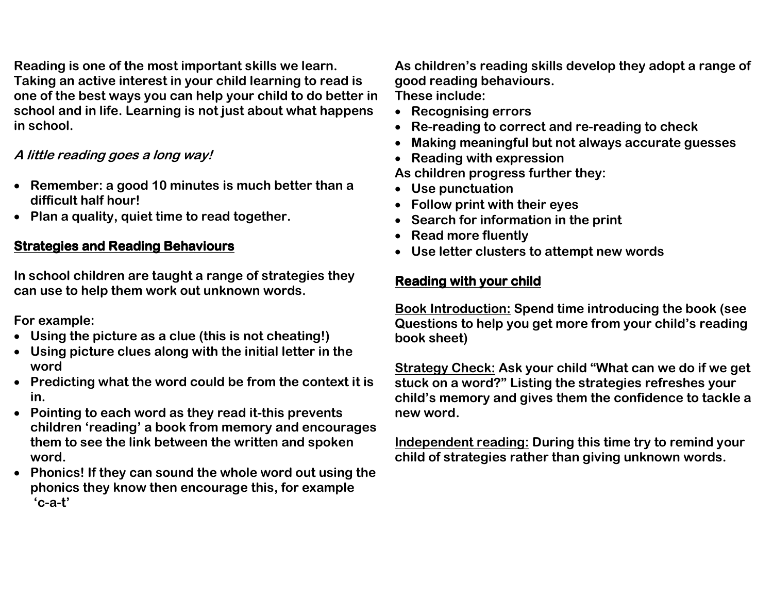**Reading is one of the most important skills we learn. Taking an active interest in your child learning to read is one of the best ways you can help your child to do better in school and in life. Learning is not just about what happens in school.** 

## **A little reading goes a long way!**

- **Remember: a good 10 minutes is much better than a difficult half hour!**
- **Plan a quality, quiet time to read together.**

## **Strategies and Reading Behaviours**

**In school children are taught a range of strategies they can use to help them work out unknown words.** 

**For example:** 

- **Using the picture as a clue (this is not cheating!)**
- **Using picture clues along with the initial letter in the word**
- **Predicting what the word could be from the context it is in.**
- **Pointing to each word as they read it-this prevents children 'reading' a book from memory and encourages them to see the link between the written and spokenword.**
- **Phonics! If they can sound the whole word out using the phonics they know then encourage this, for example 'c-a-t'**

**As children's reading skills develop they adopt a range of good reading behaviours.** 

**These include:** 

- **Recognising errors**
- **Re-reading to correct and re-reading to check**
- •**Making meaningful but not always accurate guesses**
- **Reading with expression**

**As children progress further they:** 

- **Use punctuation**
- **Follow print with their eyes**
- **Search for information in the print**
- **Read more fluently**
- **Use letter clusters to attempt new words**

## **Reading with your child your child**

**Book Introduction: Spend time introducing the book (see Questions to help you get more from your child's reading book sheet)** 

**Strategy Check: Ask your child "What can we do if we get stuck on a word?" Listing the strategies refreshes your child's memory and gives them the confidence to tackle a new word.** 

**Independent reading: During this time try to remind your child of strategies rather than giving unknown words.**